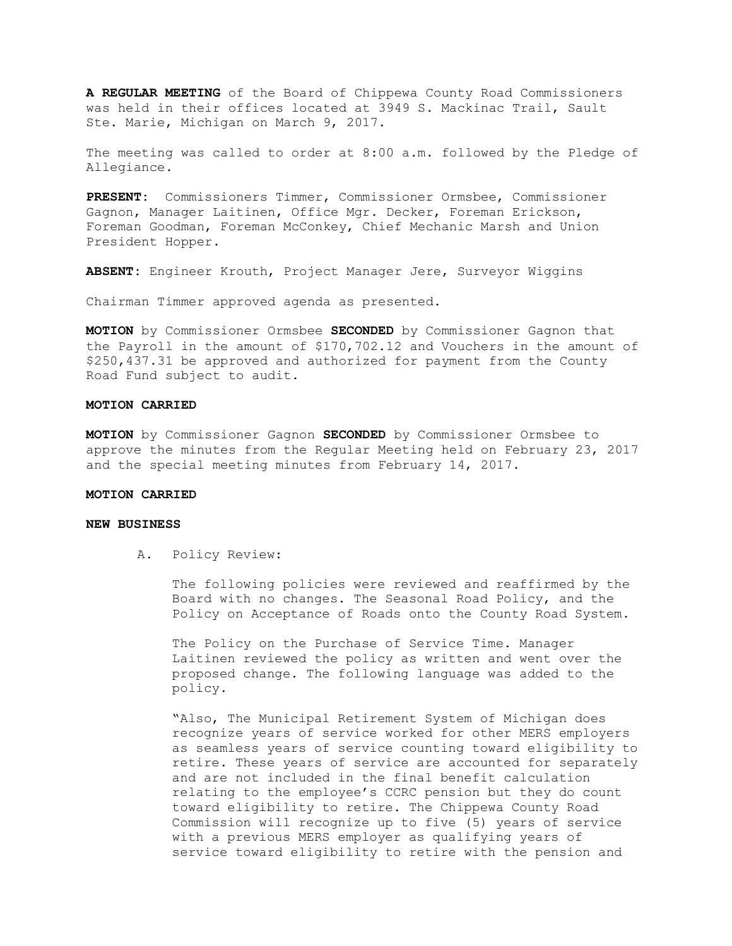**A REGULAR MEETING** of the Board of Chippewa County Road Commissioners was held in their offices located at 3949 S. Mackinac Trail, Sault Ste. Marie, Michigan on March 9, 2017.

The meeting was called to order at 8:00 a.m. followed by the Pledge of Allegiance.

**PRESENT:** Commissioners Timmer, Commissioner Ormsbee, Commissioner Gagnon, Manager Laitinen, Office Mgr. Decker, Foreman Erickson, Foreman Goodman, Foreman McConkey, Chief Mechanic Marsh and Union President Hopper.

**ABSENT:** Engineer Krouth, Project Manager Jere, Surveyor Wiggins

Chairman Timmer approved agenda as presented.

**MOTION** by Commissioner Ormsbee **SECONDED** by Commissioner Gagnon that the Payroll in the amount of \$170,702.12 and Vouchers in the amount of \$250,437.31 be approved and authorized for payment from the County Road Fund subject to audit.

#### **MOTION CARRIED**

**MOTION** by Commissioner Gagnon **SECONDED** by Commissioner Ormsbee to approve the minutes from the Regular Meeting held on February 23, 2017 and the special meeting minutes from February 14, 2017.

### **MOTION CARRIED**

### **NEW BUSINESS**

A. Policy Review:

The following policies were reviewed and reaffirmed by the Board with no changes. The Seasonal Road Policy, and the Policy on Acceptance of Roads onto the County Road System.

The Policy on the Purchase of Service Time. Manager Laitinen reviewed the policy as written and went over the proposed change. The following language was added to the policy.

"Also, The Municipal Retirement System of Michigan does recognize years of service worked for other MERS employers as seamless years of service counting toward eligibility to retire. These years of service are accounted for separately and are not included in the final benefit calculation relating to the employee's CCRC pension but they do count toward eligibility to retire. The Chippewa County Road Commission will recognize up to five (5) years of service with a previous MERS employer as qualifying years of service toward eligibility to retire with the pension and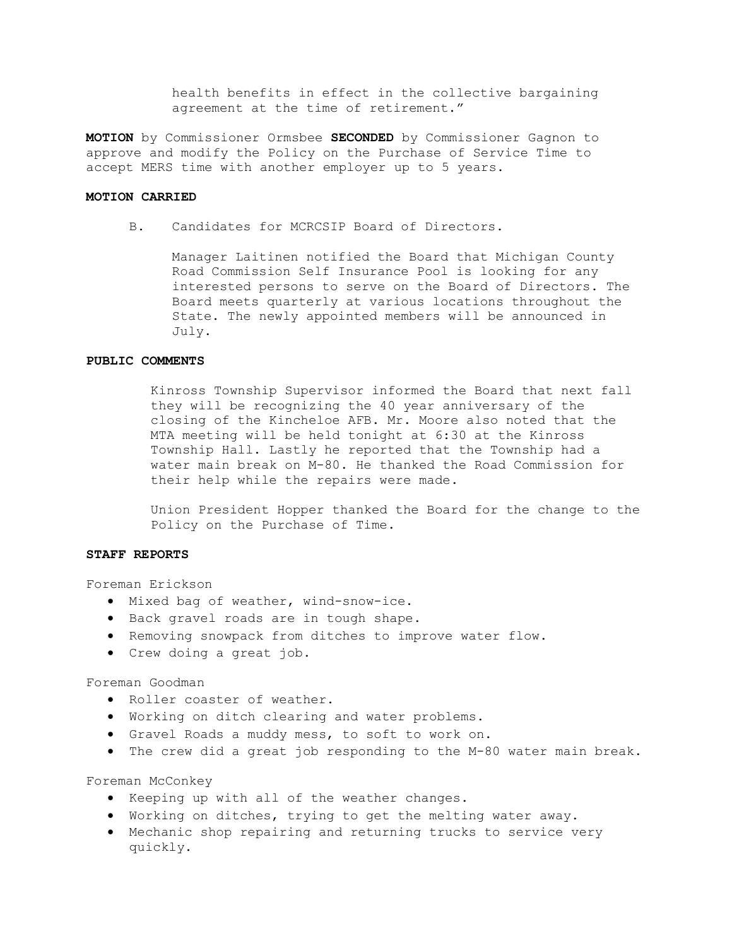health benefits in effect in the collective bargaining agreement at the time of retirement."

**MOTION** by Commissioner Ormsbee **SECONDED** by Commissioner Gagnon to approve and modify the Policy on the Purchase of Service Time to accept MERS time with another employer up to 5 years.

## **MOTION CARRIED**

B. Candidates for MCRCSIP Board of Directors.

Manager Laitinen notified the Board that Michigan County Road Commission Self Insurance Pool is looking for any interested persons to serve on the Board of Directors. The Board meets quarterly at various locations throughout the State. The newly appointed members will be announced in July.

# **PUBLIC COMMENTS**

Kinross Township Supervisor informed the Board that next fall they will be recognizing the 40 year anniversary of the closing of the Kincheloe AFB. Mr. Moore also noted that the MTA meeting will be held tonight at 6:30 at the Kinross Township Hall. Lastly he reported that the Township had a water main break on M-80. He thanked the Road Commission for their help while the repairs were made.

Union President Hopper thanked the Board for the change to the Policy on the Purchase of Time.

### **STAFF REPORTS**

Foreman Erickson

- · Mixed bag of weather, wind-snow-ice.
- · Back gravel roads are in tough shape.
- · Removing snowpack from ditches to improve water flow.
- · Crew doing a great job.

# Foreman Goodman

- · Roller coaster of weather.
- · Working on ditch clearing and water problems.
- · Gravel Roads a muddy mess, to soft to work on.
- · The crew did a great job responding to the M-80 water main break.

Foreman McConkey

- · Keeping up with all of the weather changes.
- · Working on ditches, trying to get the melting water away.
- · Mechanic shop repairing and returning trucks to service very quickly.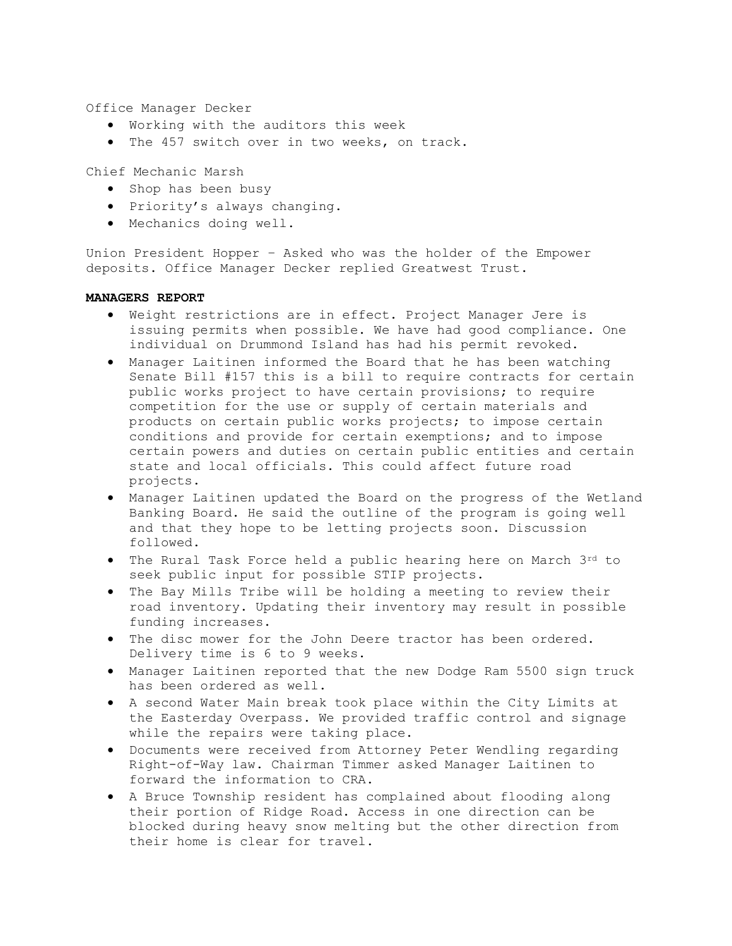Office Manager Decker

- · Working with the auditors this week
- · The 457 switch over in two weeks, on track.

Chief Mechanic Marsh

- · Shop has been busy
- · Priority's always changing.
- · Mechanics doing well.

Union President Hopper – Asked who was the holder of the Empower deposits. Office Manager Decker replied Greatwest Trust.

## **MANAGERS REPORT**

- · Weight restrictions are in effect. Project Manager Jere is issuing permits when possible. We have had good compliance. One individual on Drummond Island has had his permit revoked.
- · Manager Laitinen informed the Board that he has been watching Senate Bill #157 this is a bill to require contracts for certain public works project to have certain provisions; to require competition for the use or supply of certain materials and products on certain public works projects; to impose certain conditions and provide for certain exemptions; and to impose certain powers and duties on certain public entities and certain state and local officials. This could affect future road projects.
- · Manager Laitinen updated the Board on the progress of the Wetland Banking Board. He said the outline of the program is going well and that they hope to be letting projects soon. Discussion followed.
- · The Rural Task Force held a public hearing here on March 3rd to seek public input for possible STIP projects.
- · The Bay Mills Tribe will be holding a meeting to review their road inventory. Updating their inventory may result in possible funding increases.
- · The disc mower for the John Deere tractor has been ordered. Delivery time is 6 to 9 weeks.
- · Manager Laitinen reported that the new Dodge Ram 5500 sign truck has been ordered as well.
- · A second Water Main break took place within the City Limits at the Easterday Overpass. We provided traffic control and signage while the repairs were taking place.
- · Documents were received from Attorney Peter Wendling regarding Right-of-Way law. Chairman Timmer asked Manager Laitinen to forward the information to CRA.
- · A Bruce Township resident has complained about flooding along their portion of Ridge Road. Access in one direction can be blocked during heavy snow melting but the other direction from their home is clear for travel.